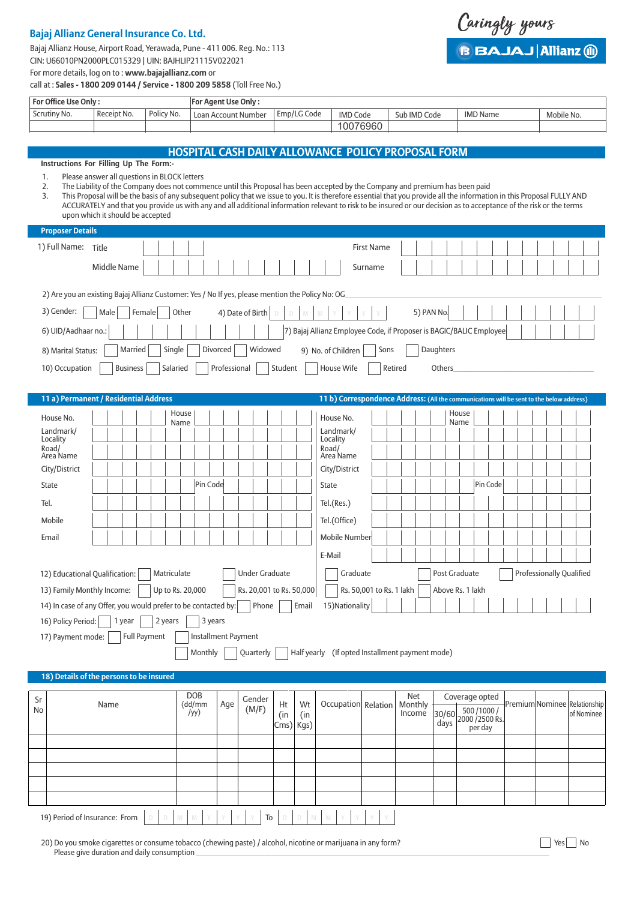# **Bajaj Allianz General Insurance Co. Ltd.**

Bajaj Allianz House, Airport Road, Yerawada, Pune - 411 006. Reg. No.: 113 CIN: U66010PN2000PLC015329 | UIN: BAJHLIP21115V022021

Caringly yours **B BAJAJ Allianz (ii)** 

| For Office Use Only:    |                                              |                 |          | For Agent Use Only: |                                                                                                                               |                                                                     |              |            |                                                                                                                                                                          |            |  |
|-------------------------|----------------------------------------------|-----------------|----------|---------------------|-------------------------------------------------------------------------------------------------------------------------------|---------------------------------------------------------------------|--------------|------------|--------------------------------------------------------------------------------------------------------------------------------------------------------------------------|------------|--|
| Scrutiny No.            | Receipt No.                                  | Policy No.      |          | Loan Account Number | Emp/LG Code                                                                                                                   | <b>IMD Code</b>                                                     | Sub IMD Code |            | <b>IMD Name</b>                                                                                                                                                          | Mobile No. |  |
|                         |                                              |                 |          |                     |                                                                                                                               | 10076960                                                            |              |            |                                                                                                                                                                          |            |  |
|                         |                                              |                 |          |                     |                                                                                                                               |                                                                     |              |            |                                                                                                                                                                          |            |  |
|                         |                                              |                 |          |                     | <b>HOSPITAL CASH DAILY ALLOWANCE POLICY PROPOSAL FORM</b>                                                                     |                                                                     |              |            |                                                                                                                                                                          |            |  |
|                         | Instructions For Filling Up The Form:-       |                 |          |                     |                                                                                                                               |                                                                     |              |            |                                                                                                                                                                          |            |  |
| 1.                      | Please answer all questions in BLOCK letters |                 |          |                     |                                                                                                                               |                                                                     |              |            |                                                                                                                                                                          |            |  |
| 2.<br>3.                |                                              |                 |          |                     | The Liability of the Company does not commence until this Proposal has been accepted by the Company and premium has been paid |                                                                     |              |            | This Proposal will be the basis of any subsequent policy that we issue to you. It is therefore essential that you provide all the information in this Proposal FULLY AND |            |  |
|                         |                                              |                 |          |                     |                                                                                                                               |                                                                     |              |            | ACCURATELY and that you provide us with any and all additional information relevant to risk to be insured or our decision as to acceptance of the risk or the terms      |            |  |
|                         | upon which it should be accepted             |                 |          |                     |                                                                                                                               |                                                                     |              |            |                                                                                                                                                                          |            |  |
| <b>Proposer Details</b> |                                              |                 |          |                     |                                                                                                                               |                                                                     |              |            |                                                                                                                                                                          |            |  |
| 1) Full Name: Title     |                                              |                 |          |                     |                                                                                                                               | <b>First Name</b>                                                   |              |            |                                                                                                                                                                          |            |  |
|                         |                                              |                 |          |                     |                                                                                                                               |                                                                     |              |            |                                                                                                                                                                          |            |  |
|                         | <b>Middle Name</b>                           |                 |          |                     |                                                                                                                               | Surname                                                             |              |            |                                                                                                                                                                          |            |  |
|                         |                                              |                 |          |                     |                                                                                                                               |                                                                     |              |            |                                                                                                                                                                          |            |  |
|                         |                                              |                 |          |                     | 2) Are you an existing Bajaj Allianz Customer: Yes / No If yes, please mention the Policy No: OG                              |                                                                     |              |            |                                                                                                                                                                          |            |  |
| 3) Gender:              | Male                                         | Female<br>Other |          | 4) Date of Birth    |                                                                                                                               |                                                                     |              | 5) PAN No. |                                                                                                                                                                          |            |  |
|                         |                                              |                 |          |                     |                                                                                                                               |                                                                     |              |            |                                                                                                                                                                          |            |  |
| 6) UID/Aadhaar no.:     |                                              |                 |          |                     |                                                                                                                               | 7) Bajaj Allianz Employee Code, if Proposer is BAGIC/BALIC Employee |              |            |                                                                                                                                                                          |            |  |
| 8) Marital Status:      | Married                                      | Single          | Divorced | Widowed             |                                                                                                                               | Sons<br>9) No. of Children                                          |              | Daughters  |                                                                                                                                                                          |            |  |
| 10) Occupation          | <b>Business</b>                              | Salaried        |          | Professional        | Student                                                                                                                       | House Wife                                                          | Retired      | Others     |                                                                                                                                                                          |            |  |
|                         |                                              |                 |          |                     |                                                                                                                               |                                                                     |              |            |                                                                                                                                                                          |            |  |
|                         |                                              |                 |          |                     |                                                                                                                               |                                                                     |              |            |                                                                                                                                                                          |            |  |
|                         | 11 a) Permanent / Residential Address        |                 |          |                     |                                                                                                                               |                                                                     |              |            | 11 b) Correspondence Address: (All the communications will be sent to the below address)                                                                                 |            |  |
| House No.               |                                              | House           |          |                     |                                                                                                                               | House No.                                                           |              |            | House                                                                                                                                                                    |            |  |
| Landmark/               |                                              | Name            |          |                     |                                                                                                                               | Landmark/                                                           |              |            | Name                                                                                                                                                                     |            |  |
| Locality                |                                              |                 |          |                     |                                                                                                                               | Locality                                                            |              |            |                                                                                                                                                                          |            |  |
| Road/<br>Area Name      |                                              |                 |          |                     |                                                                                                                               | Road/<br>Area Name                                                  |              |            |                                                                                                                                                                          |            |  |
| City/District           |                                              |                 |          |                     |                                                                                                                               | City/District                                                       |              |            |                                                                                                                                                                          |            |  |
| <b>State</b>            |                                              |                 | Pin Code |                     | State                                                                                                                         |                                                                     |              |            | Pin Code                                                                                                                                                                 |            |  |
| Tel.                    |                                              |                 |          |                     |                                                                                                                               | Tel.(Res.)                                                          |              |            |                                                                                                                                                                          |            |  |
|                         |                                              |                 |          |                     |                                                                                                                               |                                                                     |              |            |                                                                                                                                                                          |            |  |
| Mobile                  |                                              |                 |          |                     |                                                                                                                               | Tel.(Office)                                                        |              |            |                                                                                                                                                                          |            |  |

| <b>NODIE</b>                                                                     | Tel.(UTHCE)                                                  |
|----------------------------------------------------------------------------------|--------------------------------------------------------------|
| Email                                                                            | Mobile Number                                                |
|                                                                                  | E-Mail                                                       |
| 12) Educational Qualification:<br><b>Under Graduate</b><br>Matriculate           | <b>Professionally Qualified</b><br>Post Graduate<br>Graduate |
| Rs. 20,001 to Rs. 50,000<br>Up to Rs. 20,000<br>13) Family Monthly Income:       | Rs. 50,001 to Rs. 1 lakh<br>Above Rs. 1 lakh                 |
| Email<br>Phone<br>14) In case of any Offer, you would prefer to be contacted by: | 15) Nationality                                              |
| 16) Policy Period:<br>2 years<br>3 years<br>1 year                               |                                                              |
| <b>Full Payment</b><br><b>Installment Payment</b><br>17) Payment mode:           |                                                              |

## **18) Details of the persons to be insured**

| Sr        | Name                                                                                             | DOB<br>(dd/mm | Age | Gender | Ht        | Wt  | Occupation Relation |  | <b>Net</b><br>Monthly |  | Coverage opted                                                                                       |  |                                             |
|-----------|--------------------------------------------------------------------------------------------------|---------------|-----|--------|-----------|-----|---------------------|--|-----------------------|--|------------------------------------------------------------------------------------------------------|--|---------------------------------------------|
| <b>No</b> |                                                                                                  | /yy)          |     | (M/F)  | (in       | (in |                     |  | Income                |  | $\begin{array}{c c} \text{30/60} & 500/1000 / \\ \text{days} & \text{next} & \text{000} \end{array}$ |  | -Premium Nominee Relationship<br>of Nominee |
|           |                                                                                                  |               |     |        | Cms) Kgs) |     |                     |  |                       |  | per day                                                                                              |  |                                             |
|           |                                                                                                  |               |     |        |           |     |                     |  |                       |  |                                                                                                      |  |                                             |
|           |                                                                                                  |               |     |        |           |     |                     |  |                       |  |                                                                                                      |  |                                             |
|           |                                                                                                  |               |     |        |           |     |                     |  |                       |  |                                                                                                      |  |                                             |
|           |                                                                                                  |               |     |        |           |     |                     |  |                       |  |                                                                                                      |  |                                             |
|           |                                                                                                  |               |     |        |           |     |                     |  |                       |  |                                                                                                      |  |                                             |
|           | $D$ $D$ $M$ $M$ $Y$ $Y$ $Y$ $Y$ $T$ $D$ $D$ $M$ $M$ $Y$ $Y$ $Y$<br>19) Period of Insurance: From |               |     |        |           |     |                     |  |                       |  |                                                                                                      |  |                                             |

Monthly Quarterly **Half yearly** (If opted Installment payment mode)

20) Do you smoke cigarettes or consume tobacco (chewing paste) / alcohol, nicotine or marijuana in any form? Please give duration and daily consumption

Yes<sup>No</sup>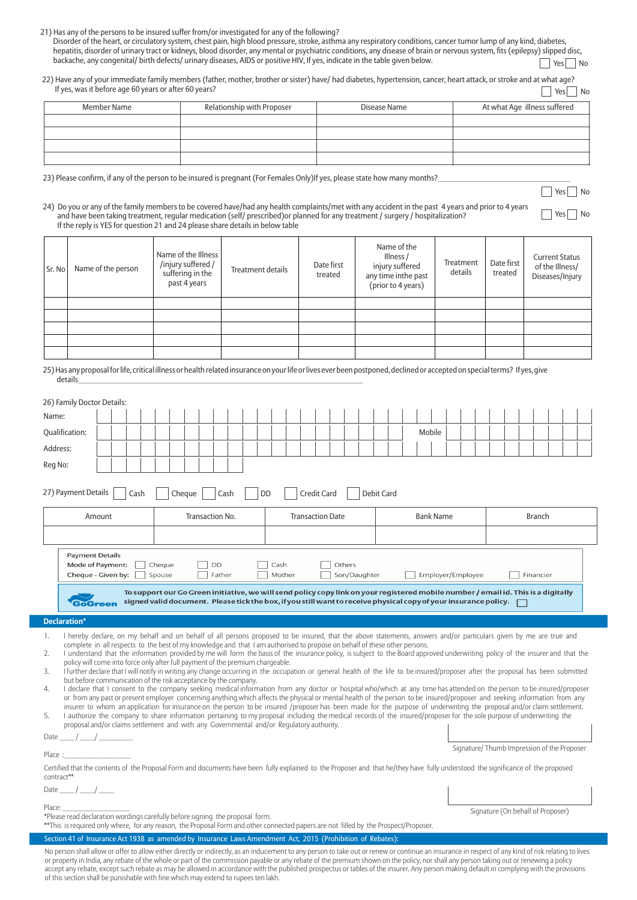| 21) Has any of the persons to be insured suffer from/or investigated for any of the following? |
|------------------------------------------------------------------------------------------------|
|------------------------------------------------------------------------------------------------|

| Disorder of the heart, or circulatory system, chest pain, high blood pressure, stroke, asthma any respiratory conditions, cancer tumor lump of any kind, diabetes,           |                              |  |
|------------------------------------------------------------------------------------------------------------------------------------------------------------------------------|------------------------------|--|
| hepatitis, disorder of urinary tract or kidneys, blood disorder, any mental or psychiatric conditions, any disease of brain or nervous system, fits (epilepsy) slipped disc, |                              |  |
| backache, any congenital/ birth defects/ urinary diseases, AIDS or positive HIV, If yes, indicate in the table given below.                                                  | $\sqrt{2}$ Yes $\sqrt{2}$ No |  |

| 22) Have any of your immediate family members (father, mother, brother or sister) have/ had diabetes, hypertension, cancer, heart attack, or stroke and at what age? |                      |  |
|----------------------------------------------------------------------------------------------------------------------------------------------------------------------|----------------------|--|
| If yes, was it before age 60 years or after 60 years?                                                                                                                | $\Box$ Yes $\Box$ No |  |

| Member Name | Relationship with Proposer | Disease Name | At what Age illness suffered |
|-------------|----------------------------|--------------|------------------------------|
|             |                            |              |                              |
|             |                            |              |                              |
|             |                            |              |                              |
|             |                            |              |                              |

Yes No

No Yes No

23) Please confirm, if any of the person to be insured is pregnant (For Females Only)If yes, please state how many months?

#### 24) Do you or any of the family members to be covered have/had any health complaints/met with any accident in the past 4 years and prior to 4 years and have been taking treatment, regular medication (self/ prescribed)or planned for any treatment / surgery / hospitalization? If the reply is YES for question 21 and 24 please share details in below table

| Sr. No | Name of the person | Name of the Illness<br>/injury suffered/<br>suffering in the<br>past 4 years | Treatment details | Date first<br>treated | Name of the<br>Illness /<br>injury suffered<br>any time inthe past<br>(prior to 4 years) | Treatment<br>details | Date first<br>treated | <b>Current Status</b><br>of the Illness/<br>Diseases/Injury |
|--------|--------------------|------------------------------------------------------------------------------|-------------------|-----------------------|------------------------------------------------------------------------------------------|----------------------|-----------------------|-------------------------------------------------------------|
|        |                    |                                                                              |                   |                       |                                                                                          |                      |                       |                                                             |
|        |                    |                                                                              |                   |                       |                                                                                          |                      |                       |                                                             |
|        |                    |                                                                              |                   |                       |                                                                                          |                      |                       |                                                             |
|        |                    |                                                                              |                   |                       |                                                                                          |                      |                       |                                                             |
|        |                    |                                                                              |                   |                       |                                                                                          |                      |                       |                                                             |

25) Has any proposal for life, critical illness or health related insurance on your life or lives ever been postponed, declined or accepted on special terms? If yes, give<br>details details\_\_\_\_\_\_\_\_\_\_\_\_\_\_\_\_\_\_\_\_\_\_\_\_\_\_\_\_\_\_\_\_\_\_\_\_\_\_\_\_\_\_\_\_\_\_\_\_\_\_\_\_\_\_\_\_\_\_\_\_\_\_\_\_\_\_\_\_\_\_\_

| 26) Family Doctor Details:                                                                                                                                                                                                                                                                                                                                                                                                                                                                                                                                                                                                                                                                                                                                                                                                                                                                                                                                                                                                                                                                                                                                                                                                                                                                                                                                                                                                                                                                                                                                                                                                                                         |                                                                                                                                                                                                                                                        |                        |                   |           |  |  |  |  |  |  |
|--------------------------------------------------------------------------------------------------------------------------------------------------------------------------------------------------------------------------------------------------------------------------------------------------------------------------------------------------------------------------------------------------------------------------------------------------------------------------------------------------------------------------------------------------------------------------------------------------------------------------------------------------------------------------------------------------------------------------------------------------------------------------------------------------------------------------------------------------------------------------------------------------------------------------------------------------------------------------------------------------------------------------------------------------------------------------------------------------------------------------------------------------------------------------------------------------------------------------------------------------------------------------------------------------------------------------------------------------------------------------------------------------------------------------------------------------------------------------------------------------------------------------------------------------------------------------------------------------------------------------------------------------------------------|--------------------------------------------------------------------------------------------------------------------------------------------------------------------------------------------------------------------------------------------------------|------------------------|-------------------|-----------|--|--|--|--|--|--|
| Name:                                                                                                                                                                                                                                                                                                                                                                                                                                                                                                                                                                                                                                                                                                                                                                                                                                                                                                                                                                                                                                                                                                                                                                                                                                                                                                                                                                                                                                                                                                                                                                                                                                                              |                                                                                                                                                                                                                                                        |                        |                   |           |  |  |  |  |  |  |
| Qualification:                                                                                                                                                                                                                                                                                                                                                                                                                                                                                                                                                                                                                                                                                                                                                                                                                                                                                                                                                                                                                                                                                                                                                                                                                                                                                                                                                                                                                                                                                                                                                                                                                                                     | Mobile                                                                                                                                                                                                                                                 |                        |                   |           |  |  |  |  |  |  |
| Address:                                                                                                                                                                                                                                                                                                                                                                                                                                                                                                                                                                                                                                                                                                                                                                                                                                                                                                                                                                                                                                                                                                                                                                                                                                                                                                                                                                                                                                                                                                                                                                                                                                                           |                                                                                                                                                                                                                                                        |                        |                   |           |  |  |  |  |  |  |
| Reg No:                                                                                                                                                                                                                                                                                                                                                                                                                                                                                                                                                                                                                                                                                                                                                                                                                                                                                                                                                                                                                                                                                                                                                                                                                                                                                                                                                                                                                                                                                                                                                                                                                                                            |                                                                                                                                                                                                                                                        |                        |                   |           |  |  |  |  |  |  |
|                                                                                                                                                                                                                                                                                                                                                                                                                                                                                                                                                                                                                                                                                                                                                                                                                                                                                                                                                                                                                                                                                                                                                                                                                                                                                                                                                                                                                                                                                                                                                                                                                                                                    |                                                                                                                                                                                                                                                        |                        |                   |           |  |  |  |  |  |  |
| 27) Payment Details<br>Cash                                                                                                                                                                                                                                                                                                                                                                                                                                                                                                                                                                                                                                                                                                                                                                                                                                                                                                                                                                                                                                                                                                                                                                                                                                                                                                                                                                                                                                                                                                                                                                                                                                        | <b>DD</b><br>Credit Card<br>Debit Card<br>Cheque<br>Cash                                                                                                                                                                                               |                        |                   |           |  |  |  |  |  |  |
| Amount                                                                                                                                                                                                                                                                                                                                                                                                                                                                                                                                                                                                                                                                                                                                                                                                                                                                                                                                                                                                                                                                                                                                                                                                                                                                                                                                                                                                                                                                                                                                                                                                                                                             | Transaction No.<br><b>Transaction Date</b><br><b>Bank Name</b><br><b>Branch</b>                                                                                                                                                                        |                        |                   |           |  |  |  |  |  |  |
|                                                                                                                                                                                                                                                                                                                                                                                                                                                                                                                                                                                                                                                                                                                                                                                                                                                                                                                                                                                                                                                                                                                                                                                                                                                                                                                                                                                                                                                                                                                                                                                                                                                                    |                                                                                                                                                                                                                                                        |                        |                   |           |  |  |  |  |  |  |
| <b>Payment Details</b>                                                                                                                                                                                                                                                                                                                                                                                                                                                                                                                                                                                                                                                                                                                                                                                                                                                                                                                                                                                                                                                                                                                                                                                                                                                                                                                                                                                                                                                                                                                                                                                                                                             |                                                                                                                                                                                                                                                        |                        |                   |           |  |  |  |  |  |  |
| Mode of Payment:                                                                                                                                                                                                                                                                                                                                                                                                                                                                                                                                                                                                                                                                                                                                                                                                                                                                                                                                                                                                                                                                                                                                                                                                                                                                                                                                                                                                                                                                                                                                                                                                                                                   | Cheque<br>DD                                                                                                                                                                                                                                           | Cash<br>Others         |                   |           |  |  |  |  |  |  |
| Cheque - Given by:                                                                                                                                                                                                                                                                                                                                                                                                                                                                                                                                                                                                                                                                                                                                                                                                                                                                                                                                                                                                                                                                                                                                                                                                                                                                                                                                                                                                                                                                                                                                                                                                                                                 | Father<br>Spouse                                                                                                                                                                                                                                       | Mother<br>Son/Daughter | Employer/Employee | Financier |  |  |  |  |  |  |
| GoGreen                                                                                                                                                                                                                                                                                                                                                                                                                                                                                                                                                                                                                                                                                                                                                                                                                                                                                                                                                                                                                                                                                                                                                                                                                                                                                                                                                                                                                                                                                                                                                                                                                                                            | To support our Go Green initiative, we will send policy copy link on your registered mobile number / email id. This is a digitally<br>signed valid document. Please tick the box, if you still want to receive physical copy of your insurance policy. |                        |                   |           |  |  |  |  |  |  |
| <b>Declaration*</b>                                                                                                                                                                                                                                                                                                                                                                                                                                                                                                                                                                                                                                                                                                                                                                                                                                                                                                                                                                                                                                                                                                                                                                                                                                                                                                                                                                                                                                                                                                                                                                                                                                                |                                                                                                                                                                                                                                                        |                        |                   |           |  |  |  |  |  |  |
| I hereby declare, on my behalf and on behalf of all persons proposed to be insured, that the above statements, answers and/or particulars given by me are true and<br>1.<br>complete in all respects to the best of my knowledge and that I am authorised to propose on behalf of these other persons.<br>I understand that the information provided by me will form the basis of the insurance policy, is subject to the Board approved underwriting policy of the insurer and that the<br>2.<br>policy will come into force only after full payment of the premium chargeable.<br>I further declare that I will notify in writing any change occurring in the occupation or general health of the life to be insured/proposer after the proposal has been submitted<br>3.<br>but before communication of the risk acceptance by the company.<br>I declare that I consent to the company seeking medical information from any doctor or hospital who/which at any time has attended on the person to be insured/proposer<br>4.<br>or from any past or present employer concerning anything which affects the physical or mental health of the person to be insured/proposer and seeking information from any<br>insurer to whom an application for insurance on the person to be insured /proposer has been made for the purpose of underwriting the proposal and/or claim settlement.<br>I authorize the company to share information pertaining to my proposal including the medical records of the insured/proposer for the sole purpose of underwriting the<br>5.<br>proposal and/or claims settlement and with any Governmental and/or Regulatory authority. |                                                                                                                                                                                                                                                        |                        |                   |           |  |  |  |  |  |  |
| Date $\frac{1}{\sqrt{2}}$<br>Signature/Thumb Impression of the Proposer                                                                                                                                                                                                                                                                                                                                                                                                                                                                                                                                                                                                                                                                                                                                                                                                                                                                                                                                                                                                                                                                                                                                                                                                                                                                                                                                                                                                                                                                                                                                                                                            |                                                                                                                                                                                                                                                        |                        |                   |           |  |  |  |  |  |  |
| Place:<br>Certified that the contents of the Proposal Form and documents have been fully explained to the Proposer and that he/they have fully understood the significance of the proposed<br>contract**                                                                                                                                                                                                                                                                                                                                                                                                                                                                                                                                                                                                                                                                                                                                                                                                                                                                                                                                                                                                                                                                                                                                                                                                                                                                                                                                                                                                                                                           |                                                                                                                                                                                                                                                        |                        |                   |           |  |  |  |  |  |  |
| Date $\frac{1}{\sqrt{2}}$                                                                                                                                                                                                                                                                                                                                                                                                                                                                                                                                                                                                                                                                                                                                                                                                                                                                                                                                                                                                                                                                                                                                                                                                                                                                                                                                                                                                                                                                                                                                                                                                                                          |                                                                                                                                                                                                                                                        |                        |                   |           |  |  |  |  |  |  |
| Place:<br>Signature (On behalf of Proposer)<br>*Please read declaration wordings carefully before signing the proposal form.<br>**This is required only where, for any reason, the Proposal Form and other connected papers are not filled by the Prospect/Proposer.                                                                                                                                                                                                                                                                                                                                                                                                                                                                                                                                                                                                                                                                                                                                                                                                                                                                                                                                                                                                                                                                                                                                                                                                                                                                                                                                                                                               |                                                                                                                                                                                                                                                        |                        |                   |           |  |  |  |  |  |  |
|                                                                                                                                                                                                                                                                                                                                                                                                                                                                                                                                                                                                                                                                                                                                                                                                                                                                                                                                                                                                                                                                                                                                                                                                                                                                                                                                                                                                                                                                                                                                                                                                                                                                    |                                                                                                                                                                                                                                                        |                        |                   |           |  |  |  |  |  |  |
| Section 41 of Insurance Act 1938 as amended by Insurance Laws Amendment Act, 2015 (Prohibition of Rebates):<br>No person shall allow or offer to allow either directly or indirectly, as an inducement to any person to take out or renew or continue an insurance in respect of any kind of risk relating to lives<br>or property in India, any rebate of the whole or part of the commission payable or any rebate of the premium shown on the policy, nor shall any person taking out or renewing a policy                                                                                                                                                                                                                                                                                                                                                                                                                                                                                                                                                                                                                                                                                                                                                                                                                                                                                                                                                                                                                                                                                                                                                      |                                                                                                                                                                                                                                                        |                        |                   |           |  |  |  |  |  |  |

accept any rebate, except such rebate as may be allowed in accordance with the published prospectus or tables of the insurer. Any person making default in complying with the provisions

of this section shall be punishable with fine which may extend to rupees ten lakh.